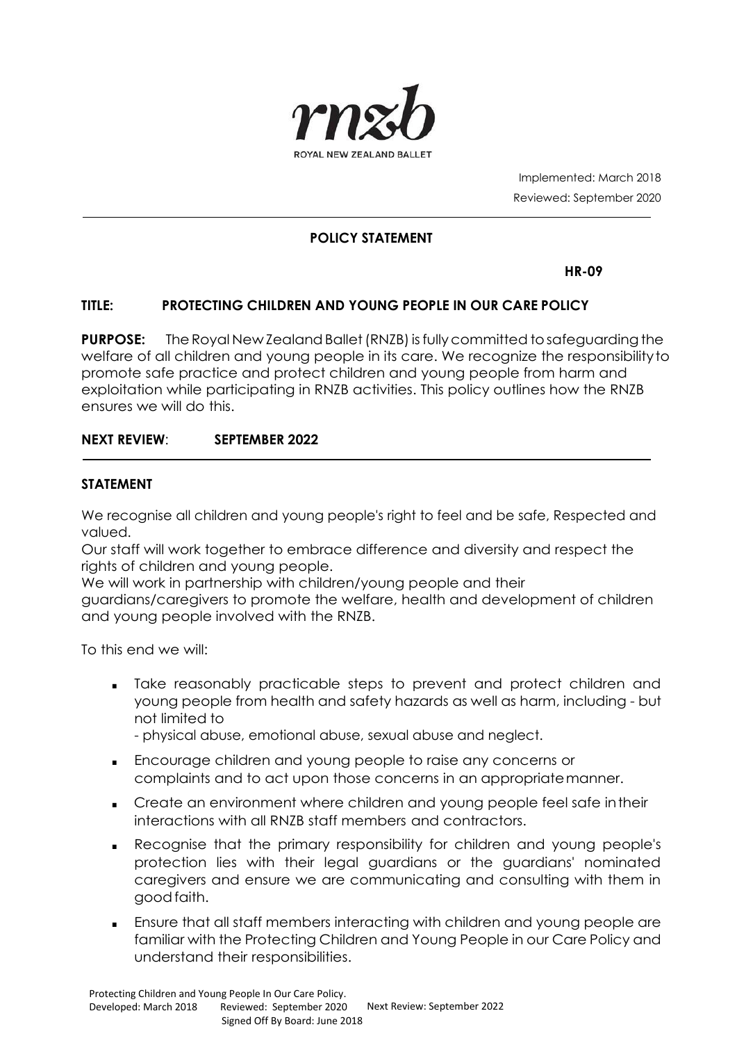

Implemented: March 2018 Reviewed: September 2020

#### **POLICY STATEMENT**

**HR-09**

#### **TITLE: PROTECTING CHILDREN AND YOUNG PEOPLE IN OUR CARE POLICY**

**PURPOSE:** The Royal New Zealand Ballet (RNZB) is fully committed to safeguarding the welfare of all children and young people in its care. We recognize the responsibilityto promote safe practice and protect children and young people from harm and exploitation while participating in RNZB activities. This policy outlines how the RNZB ensures we will do this.

#### **NEXT REVIEW**: **SEPTEMBER 2022**

#### **STATEMENT**

We recognise all children and young people's right to feel and be safe, Respected and valued.

Our staff will work together to embrace difference and diversity and respect the rights of children and young people.

We will work in partnership with children/young people and their

guardians/caregivers to promote the welfare, health and development of children and young people involved with the RNZB.

To this end we will:

■ Take reasonably practicable steps to prevent and protect children and young people from health and safety hazards as well as harm, including - but not limited to

- physical abuse, emotional abuse, sexual abuse and neglect.

- Encourage children and young people to raise any concerns or complaints and to act upon those concerns in an appropriatemanner.
- Create an environment where children and young people feel safe intheir interactions with all RNZB staff members and contractors.
- Recognise that the primary responsibility for children and young people's protection lies with their legal guardians or the guardians' nominated caregivers and ensure we are communicating and consulting with them in goodfaith.
- Ensure that all staff members interacting with children and young people are familiar with the Protecting Children and Young People in our Care Policy and understand their responsibilities.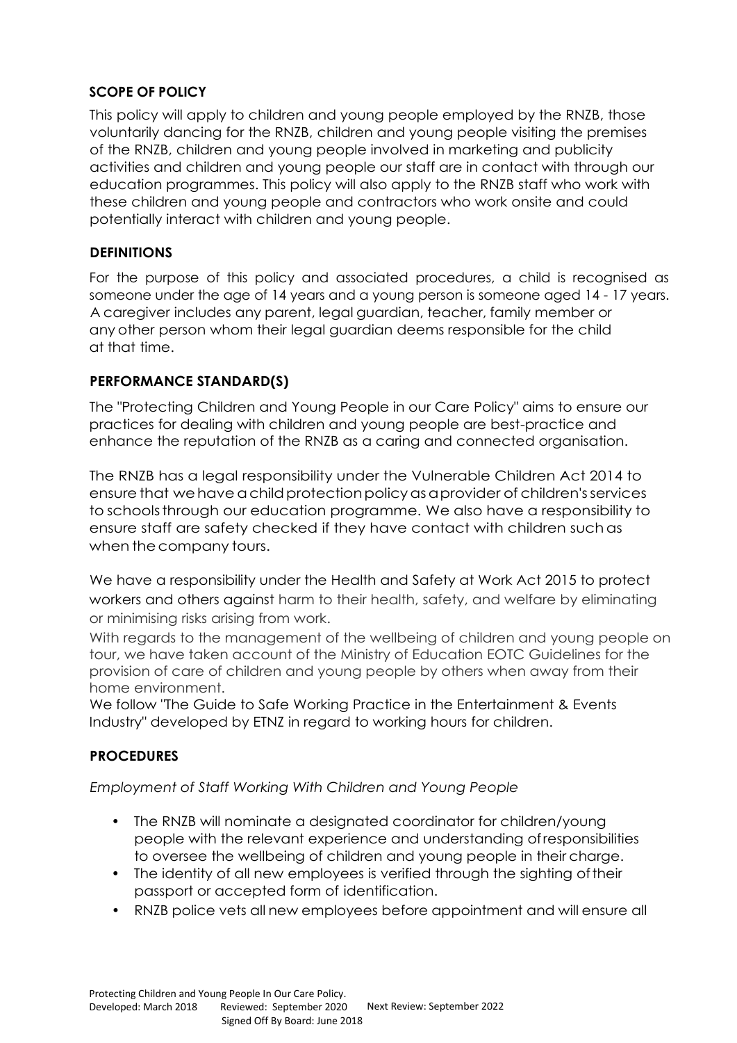## **SCOPE OF POLICY**

This policy will apply to children and young people employed by the RNZB, those voluntarily dancing for the RNZB, children and young people visiting the premises of the RNZB, children and young people involved in marketing and publicity activities and children and young people our staff are in contact with through our education programmes. This policy will also apply to the RNZB staff who work with these children and young people and contractors who work onsite and could potentially interact with children and young people.

## **DEFINITIONS**

For the purpose of this policy and associated procedures, a child is recognised as someone under the age of 14 years and a young person is someone aged 14 - 17 years. A caregiver includes any parent, legal guardian, teacher, family member or any other person whom their legal guardian deems responsible for the child at that time.

## **PERFORMANCE STANDARD(S)**

The "Protecting Children and Young People in our Care Policy" aims to ensure our practices for dealing with children and young people are best-practice and enhance the reputation of the RNZB as a caring and connected organisation.

The RNZB has a legal responsibility under the Vulnerable Children Act 2014 to ensure that we have a child protection policy as a provider of children's services to schoolsthrough our education programme. We also have a responsibility to ensure staff are safety checked if they have contact with children suchas when the company tours.

We have a responsibility under the Health and Safety at Work Act 2015 to protect workers and others against harm to their health, safety, and welfare by eliminating or minimising risks arising from work.

With regards to the management of the wellbeing of children and young people on tour, we have taken account of the Ministry of Education EOTC Guidelines for the provision of care of children and young people by others when away from their home environment.

We follow "The Guide to Safe Working Practice in the Entertainment & Events Industry" developed by ETNZ in regard to working hours for children.

# **PROCEDURES**

*Employment of Staff Working With Children and Young People*

- The RNZB will nominate a designated coordinator for children/young people with the relevant experience and understanding ofresponsibilities to oversee the wellbeing of children and young people in their charge.
- The identity of all new employees is verified through the sighting oftheir passport or accepted form of identification.
- RNZB police vets all new employees before appointment and will ensure all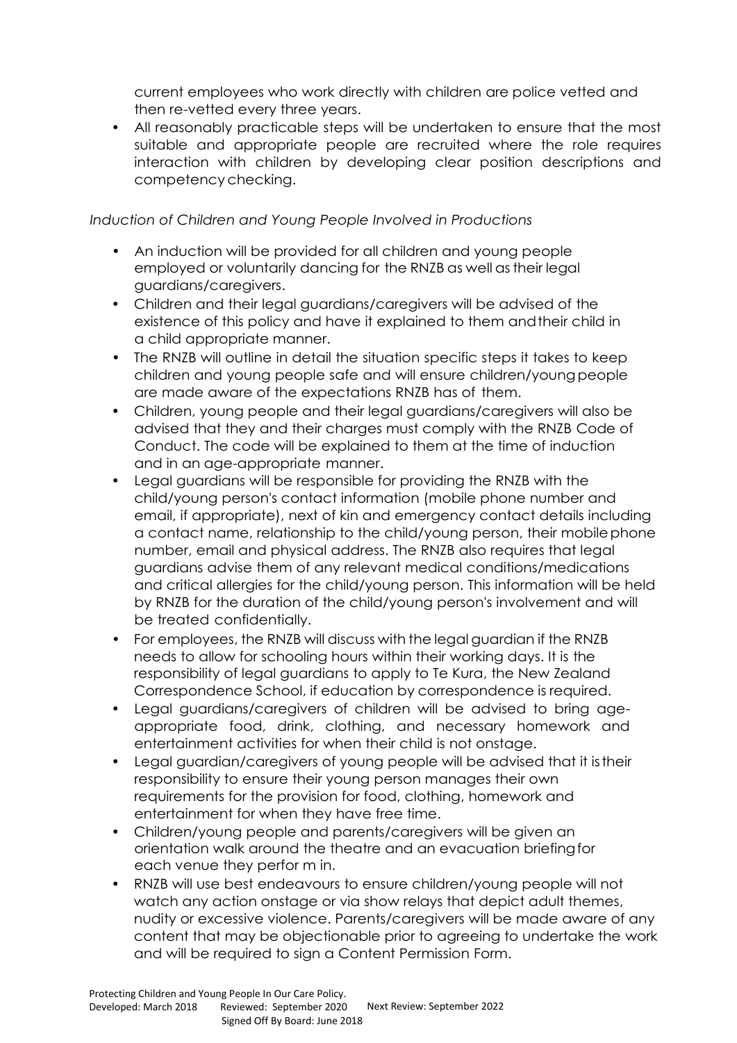current employees who work directly with children are police vetted and then re-vetted every three years.

• All reasonably practicable steps will be undertaken to ensure that the most suitable and appropriate people are recruited where the role requires interaction with children by developing clear position descriptions and competencychecking.

## *Induction of Children and Young People Involved in Productions*

- An induction will be provided for all children and young people employed or voluntarily dancing for the RNZB as well as their legal guardians/caregivers.
- Children and their legal guardians/caregivers will be advised of the existence of this policy and have it explained to them andtheir child in a child appropriate manner.
- The RNZB will outline in detail the situation specific steps it takes to keep children and young people safe and will ensure children/youngpeople are made aware of the expectations RNZB has of them.
- Children, young people and their legal guardians/caregivers will also be advised that they and their charges must comply with the RNZB Code of Conduct. The code will be explained to them at the time of induction and in an age-appropriate manner.
- Legal guardians will be responsible for providing the RNZB with the child/young person's contact information (mobile phone number and email, if appropriate), next of kin and emergency contact details including a contact name, relationship to the child/young person, their mobilephone number, email and physical address. The RNZB also requires that legal guardians advise them of any relevant medical conditions/medications and critical allergies for the child/young person. This information will be held by RNZB for the duration of the child/young person's involvement and will be treated confidentially.
- For employees, the RNZB will discuss with the legal guardian if the RNZB needs to allow for schooling hours within their working days. It is the responsibility of legal guardians to apply to Te Kura, the New Zealand Correspondence School, if education by correspondence is required.
- Legal guardians/caregivers of children will be advised to bring ageappropriate food, drink, clothing, and necessary homework and entertainment activities for when their child is not onstage.
- Legal guardian/caregivers of young people will be advised that it istheir responsibility to ensure their young person manages their own requirements for the provision for food, clothing, homework and entertainment for when they have free time.
- Children/young people and parents/caregivers will be given an orientation walk around the theatre and an evacuation briefingfor each venue they perfor m in.
- RNZB will use best endeavours to ensure children/young people will not watch any action onstage or via show relays that depict adult themes, nudity or excessive violence. Parents/caregivers will be made aware of any content that may be objectionable prior to agreeing to undertake the work and will be required to sign a Content Permission Form.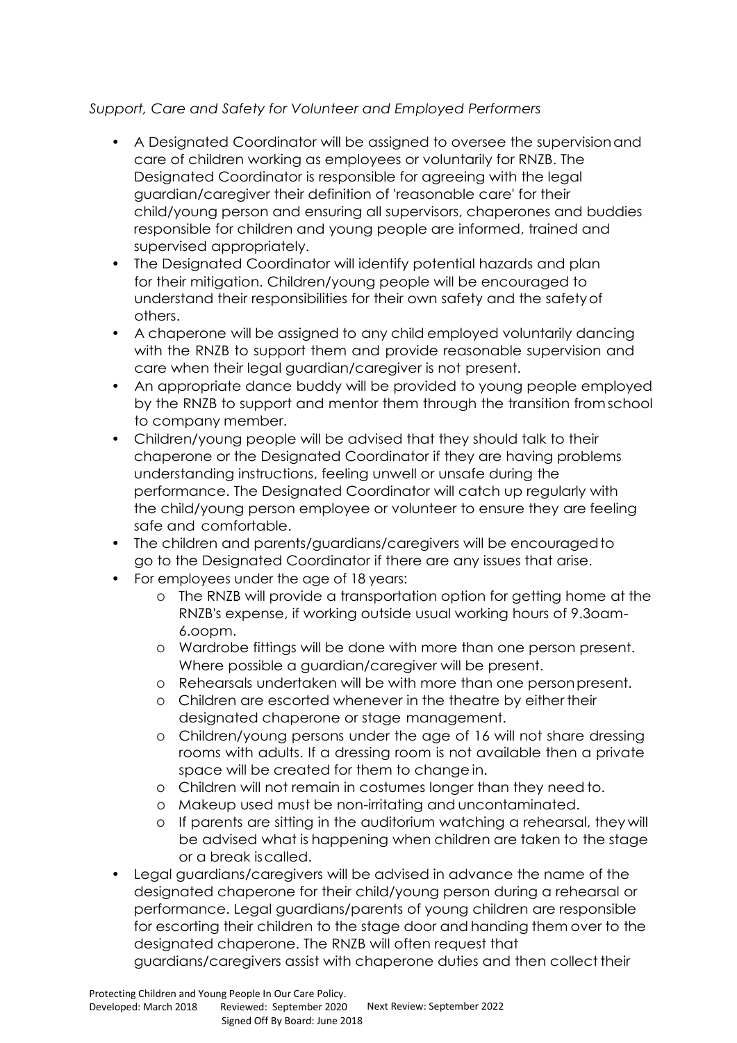# *Support, Care and Safety for Volunteer and Employed Performers*

- A Designated Coordinator will be assigned to oversee the supervisionand care of children working as employees or voluntarily for RNZB. The Designated Coordinator is responsible for agreeing with the legal guardian/caregiver their definition of 'reasonable care' for their child/young person and ensuring all supervisors, chaperones and buddies responsible for children and young people are informed, trained and supervised appropriately.
- The Designated Coordinator will identify potential hazards and plan for their mitigation. Children/young people will be encouraged to understand their responsibilities for their own safety and the safetyof others.
- A chaperone will be assigned to any child employed voluntarily dancing with the RNZB to support them and provide reasonable supervision and care when their legal guardian/caregiver is not present.
- An appropriate dance buddy will be provided to young people employed by the RNZB to support and mentor them through the transition fromschool to company member.
- Children/young people will be advised that they should talk to their chaperone or the Designated Coordinator if they are having problems understanding instructions, feeling unwell or unsafe during the performance. The Designated Coordinator will catch up regularly with the child/young person employee or volunteer to ensure they are feeling safe and comfortable.
- The children and parents/guardians/caregivers will be encouragedto go to the Designated Coordinator if there are any issues that arise.
- For employees under the age of 18 years:
	- o The RNZB will provide a transportation option for getting home at the RNZB's expense, if working outside usual working hours of 9.3oam-6.oopm.
	- o Wardrobe fittings will be done with more than one person present. Where possible a guardian/caregiver will be present.
	- o Rehearsals undertaken will be with more than one personpresent.
	- o Children are escorted whenever in the theatre by either their designated chaperone or stage management.
	- o Children/young persons under the age of 16 will not share dressing rooms with adults. If a dressing room is not available then a private space will be created for them to change in.
	- o Children will not remain in costumes longer than they needto.
	- o Makeup used must be non-irritating and uncontaminated.
	- o If parents are sitting in the auditorium watching a rehearsal, they will be advised what is happening when children are taken to the stage or a break iscalled.
- Legal guardians/caregivers will be advised in advance the name of the designated chaperone for their child/young person during a rehearsal or performance. Legal guardians/parents of young children are responsible for escorting their children to the stage door and handing them over to the designated chaperone. The RNZB will often request that

guardians/caregivers assist with chaperone duties and then collect their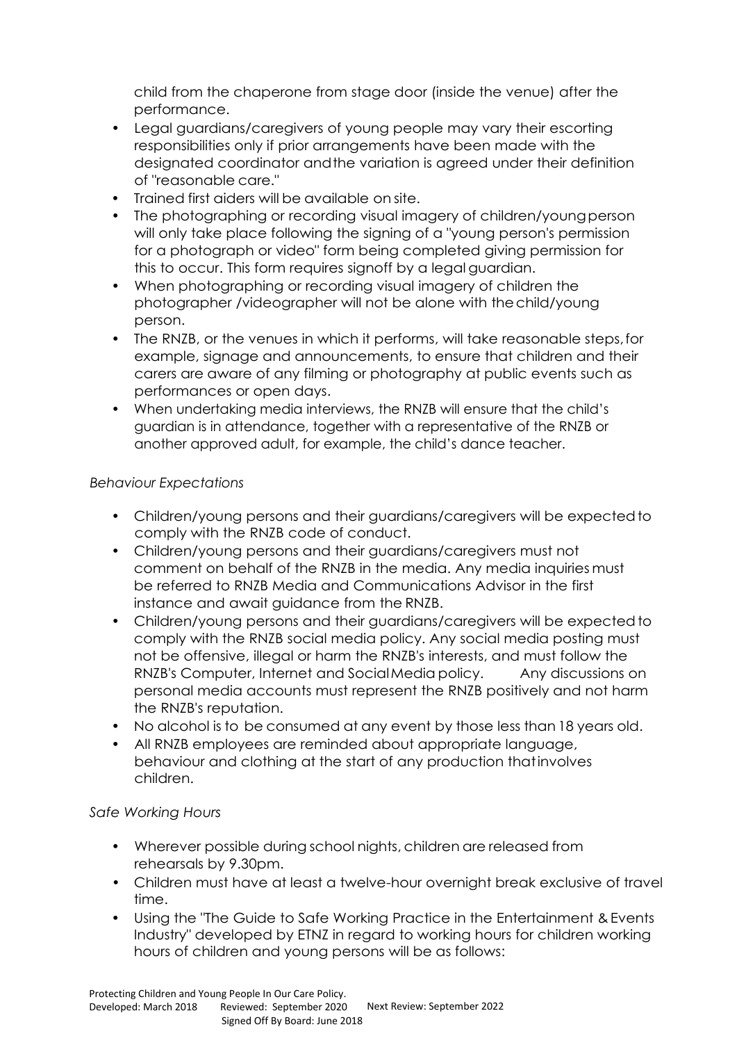child from the chaperone from stage door (inside the venue) after the performance.

- Legal guardians/caregivers of young people may vary their escorting responsibilities only if prior arrangements have been made with the designated coordinator andthe variation is agreed under their definition of "reasonable care."
- Trained first aiders will be available on site.
- The photographing or recording visual imagery of children/young person will only take place following the signing of a "young person's permission for a photograph or video" form being completed giving permission for this to occur. This form requires signoff by a legal guardian.
- When photographing or recording visual imagery of children the photographer /videographer will not be alone with thechild/young person.
- The RNZB, or the venues in which it performs, will take reasonable steps,for example, signage and announcements, to ensure that children and their carers are aware of any filming or photography at public events such as performances or open days.
- When undertaking media interviews, the RNZB will ensure that the child's guardian is in attendance, together with a representative of the RNZB or another approved adult, for example, the child's dance teacher.

## *Behaviour Expectations*

- Children/young persons and their guardians/caregivers will be expected to comply with the RNZB code of conduct.
- Children/young persons and their guardians/caregivers must not comment on behalf of the RNZB in the media. Any media inquiries must be referred to RNZB Media and Communications Advisor in the first instance and await guidance from the RNZB.
- Children/young persons and their guardians/caregivers will be expectedto comply with the RNZB social media policy. Any social media posting must not be offensive, illegal or harm the RNZB's interests, and must follow the RNZB's Computer, Internet and SocialMedia policy. Any discussions on personal media accounts must represent the RNZB positively and not harm the RNZB's reputation.
- No alcohol is to be consumed at any event by those less than 18 years old.
- All RNZB employees are reminded about appropriate language, behaviour and clothing at the start of any production thatinvolves children.

#### *Safe Working Hours*

- Wherever possible during school nights, children are released from rehearsals by 9.30pm.
- Children must have at least a twelve-hour overnight break exclusive of travel time.
- Using the "The Guide to Safe Working Practice in the Entertainment & Events Industry" developed by ETNZ in regard to working hours for children working hours of children and young persons will be as follows: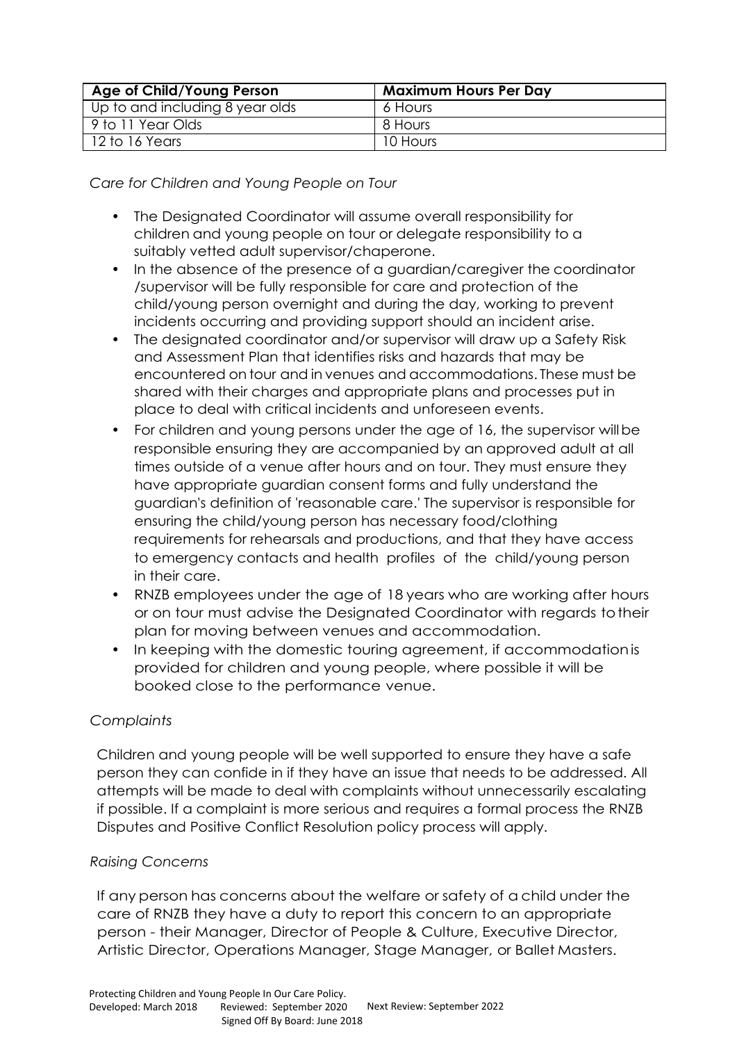| Age of Child/Young Person       | <b>Maximum Hours Per Day</b> |
|---------------------------------|------------------------------|
| Up to and including 8 year olds | 6 Hours                      |
| 9 to 11 Year Olds               | 8 Hours                      |
| 12 to 16 Years                  | 10 Hours                     |

*Care for Children and Young People on Tour*

- The Designated Coordinator will assume overall responsibility for children and young people on tour or delegate responsibility to a suitably vetted adult supervisor/chaperone.
- In the absence of the presence of a guardian/caregiver the coordinator /supervisor will be fully responsible for care and protection of the child/young person overnight and during the day, working to prevent incidents occurring and providing support should an incident arise.
- The designated coordinator and/or supervisor will draw up a Safety Risk and Assessment Plan that identifies risks and hazards that may be encountered on tour and in venues and accommodations. These must be shared with their charges and appropriate plans and processes put in place to deal with critical incidents and unforeseen events.
- For children and young persons under the age of 16, the supervisor will be responsible ensuring they are accompanied by an approved adult at all times outside of a venue after hours and on tour. They must ensure they have appropriate guardian consent forms and fully understand the guardian's definition of 'reasonable care.' The supervisor is responsible for ensuring the child/young person has necessary food/clothing requirements for rehearsals and productions, and that they have access to emergency contacts and health profiles of the child/young person in their care.
- RNZB employees under the age of 18 years who are working after hours or on tour must advise the Designated Coordinator with regards totheir plan for moving between venues and accommodation.
- In keeping with the domestic touring agreement, if accommodationis provided for children and young people, where possible it will be booked close to the performance venue.

# *Complaints*

Children and young people will be well supported to ensure they have a safe person they can confide in if they have an issue that needs to be addressed. All attempts will be made to deal with complaints without unnecessarily escalating if possible. If a complaint is more serious and requires a formal process the RNZB Disputes and Positive Conflict Resolution policy process will apply.

#### *Raising Concerns*

If any person has concerns about the welfare or safety of a child under the care of RNZB they have a duty to report this concern to an appropriate person - their Manager, Director of People & Culture, Executive Director, Artistic Director, Operations Manager, Stage Manager, or Ballet Masters.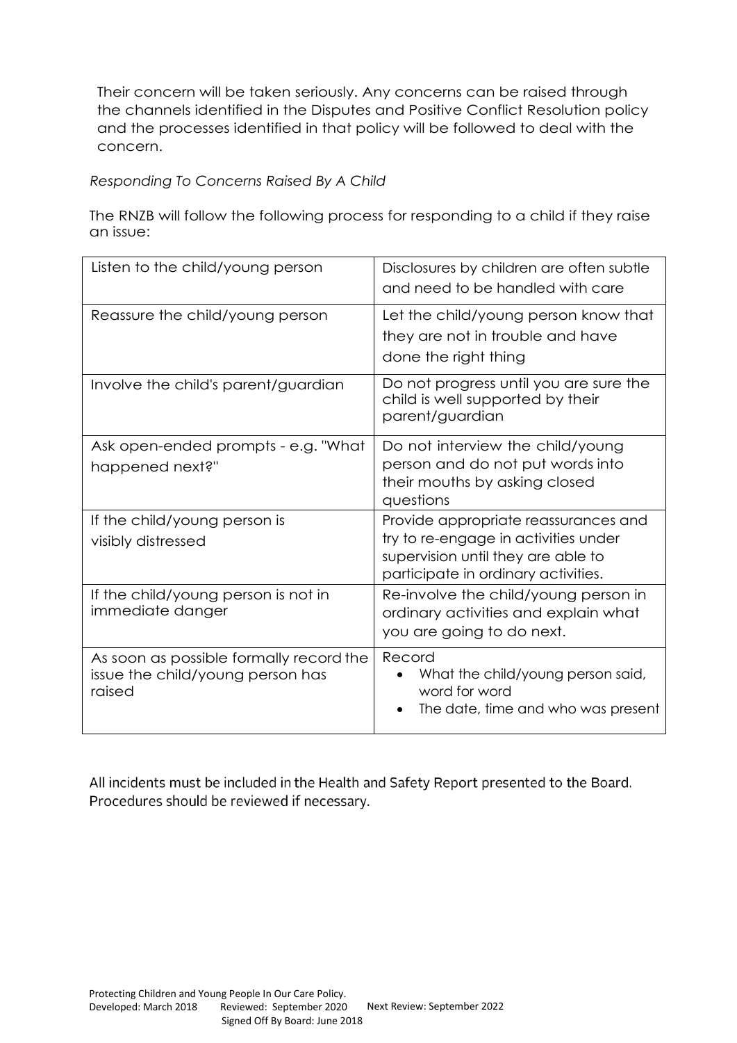Their concern will be taken seriously. Any concerns can be raised through the channels identified in the Disputes and Positive Conflict Resolution policy and the processes identified in that policy will be followed to deal with the concern.

*Responding To Concerns Raised By A Child*

The RNZB will follow the following process for responding to a child if they raise an issue:

| Listen to the child/young person                                                      | Disclosures by children are often subtle<br>and need to be handled with care                                                                              |
|---------------------------------------------------------------------------------------|-----------------------------------------------------------------------------------------------------------------------------------------------------------|
| Reassure the child/young person                                                       | Let the child/young person know that<br>they are not in trouble and have<br>done the right thing                                                          |
| Involve the child's parent/guardian                                                   | Do not progress until you are sure the<br>child is well supported by their<br>parent/guardian                                                             |
| Ask open-ended prompts - e.g. "What<br>happened next?"                                | Do not interview the child/young<br>person and do not put words into<br>their mouths by asking closed<br>questions                                        |
| If the child/young person is<br>visibly distressed                                    | Provide appropriate reassurances and<br>try to re-engage in activities under<br>supervision until they are able to<br>participate in ordinary activities. |
| If the child/young person is not in<br>immediate danger                               | Re-involve the child/young person in<br>ordinary activities and explain what<br>you are going to do next.                                                 |
| As soon as possible formally record the<br>issue the child/young person has<br>raised | Record<br>What the child/young person said,<br>word for word<br>The date, time and who was present                                                        |

All incidents must be included in the Health and Safety Report presented to the Board. Procedures should be reviewed if necessary.